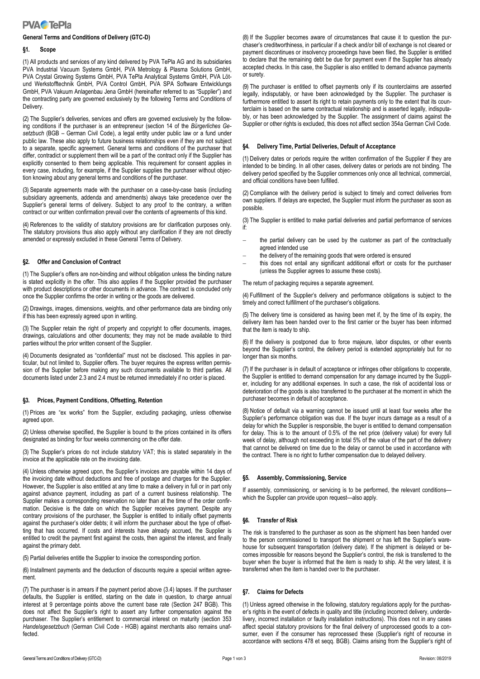

### **General Terms and Conditions of Delivery (GTC-D)**

## **§1. Scope**

(1) All products and services of any kind delivered by PVA TePla AG and its subsidiaries PVA Industrial Vacuum Systems GmbH, PVA Metrology & Plasma Solutions GmbH, PVA Crystal Growing Systems GmbH, PVA TePla Analytical Systems GmbH, PVA Lötund Werkstofftechnik GmbH, PVA Control GmbH, PVA SPA Software Entwicklungs GmbH, PVA Vakuum Anlagenbau Jena GmbH (hereinafter referred to as "Supplier") and the contracting party are governed exclusively by the following Terms and Conditions of **Delivery** 

(2) The Supplier's deliveries, services and offers are governed exclusively by the following conditions if the purchaser is an entrepreneur (section 14 of the *Bürgerliches Gesetzbuch* (BGB – German Civil Code), a legal entity under public law or a fund under public law. These also apply to future business relationships even if they are not subject to a separate, specific agreement. General terms and conditions of the purchaser that differ, contradict or supplement them will be a part of the contract only if the Supplier has explicitly consented to them being applicable. This requirement for consent applies in every case, including, for example, if the Supplier supplies the purchaser without objection knowing about any general terms and conditions of the purchaser.

(3) Separate agreements made with the purchaser on a case-by-case basis (including subsidiary agreements, addenda and amendments) always take precedence over the Supplier's general terms of delivery. Subject to any proof to the contrary, a written contract or our written confirmation prevail over the contents of agreements of this kind.

(4) References to the validity of statutory provisions are for clarification purposes only. The statutory provisions thus also apply without any clarification if they are not directly amended or expressly excluded in these General Terms of Delivery.

## **§2. Offer and Conclusion of Contract**

(1) The Supplier's offers are non-binding and without obligation unless the binding nature is stated explicitly in the offer. This also applies if the Supplier provided the purchaser with product descriptions or other documents in advance. The contract is concluded only once the Supplier confirms the order in writing or the goods are delivered.

(2) Drawings, images, dimensions, weights, and other performance data are binding only if this has been expressly agreed upon in writing.

(3) The Supplier retain the right of property and copyright to offer documents, images, drawings, calculations and other documents; they may not be made available to third parties without the prior written consent of the Supplier.

(4) Documents designated as "confidential" must not be disclosed. This applies in particular, but not limited to, Supplier offers. The buyer requires the express written permission of the Supplier before making any such documents available to third parties. All documents listed under 2.3 and 2.4 must be returned immediately if no order is placed.

## **§3. Prices, Payment Conditions, Offsetting, Retention**

(1) Prices are "ex works" from the Supplier, excluding packaging, unless otherwise agreed upon.

(2) Unless otherwise specified, the Supplier is bound to the prices contained in its offers designated as binding for four weeks commencing on the offer date.

(3) The Supplier's prices do not include statutory VAT; this is stated separately in the invoice at the applicable rate on the invoicing date.

(4) Unless otherwise agreed upon, the Supplier's invoices are payable within 14 days of the invoicing date without deductions and free of postage and charges for the Supplier. However, the Supplier is also entitled at any time to make a delivery in full or in part only against advance payment, including as part of a current business relationship. The Supplier makes a corresponding reservation no later than at the time of the order confirmation. Decisive is the date on which the Supplier receives payment. Despite any contrary provisions of the purchaser, the Supplier is entitled to initially offset payments against the purchaser's older debts; it will inform the purchaser about the type of offsetting that has occurred. If costs and interests have already accrued, the Supplier is entitled to credit the payment first against the costs, then against the interest, and finally against the primary debt.

(5) Partial deliveries entitle the Supplier to invoice the corresponding portion.

(6) Installment payments and the deduction of discounts require a special written agreement.

(7) The purchaser is in arrears if the payment period above (3.4) lapses. If the purchaser defaults, the Supplier is entitled, starting on the date in question, to charge annual interest at 9 percentage points above the current base rate (Section 247 BGB). This does not affect the Supplier's right to assert any further compensation against the purchaser. The Supplier's entitlement to commercial interest on maturity (section 353 *Handelsgesetzbuch* (German Civil Code - HGB) against merchants also remains unaffected.

(8) If the Supplier becomes aware of circumstances that cause it to question the purchaser's creditworthiness, in particular if a check and/or bill of exchange is not cleared or payment discontinues or insolvency proceedings have been filed, the Supplier is entitled to declare that the remaining debt be due for payment even if the Supplier has already accepted checks. In this case, the Supplier is also entitled to demand advance payments or surety.

(9) The purchaser is entitled to offset payments only if its counterclaims are asserted legally, indisputably, or have been acknowledged by the Supplier. The purchaser is furthermore entitled to assert its right to retain payments only to the extent that its counterclaim is based on the same contractual relationship and is asserted legally, indisputably, or has been acknowledged by the Supplier. The assignment of claims against the Supplier or other rights is excluded, this does not affect section 354a German Civil Code.

#### **§4. Delivery Time, Partial Deliveries, Default of Acceptance**

(1) Delivery dates or periods require the written confirmation of the Supplier if they are intended to be binding. In all other cases, delivery dates or periods are not binding. The delivery period specified by the Supplier commences only once all technical, commercial, and official conditions have been fulfilled.

(2) Compliance with the delivery period is subject to timely and correct deliveries from own suppliers. If delays are expected, the Supplier must inform the purchaser as soon as possible.

(3) The Supplier is entitled to make partial deliveries and partial performance of services if:

- the partial delivery can be used by the customer as part of the contractually agreed intended use
- the delivery of the remaining goods that were ordered is ensured
- this does not entail any significant additional effort or costs for the purchaser (unless the Supplier agrees to assume these costs).

The return of packaging requires a separate agreement.

(4) Fulfillment of the Supplier's delivery and performance obligations is subject to the timely and correct fulfillment of the purchaser's obligations.

(5) The delivery time is considered as having been met if, by the time of its expiry, the delivery item has been handed over to the first carrier or the buyer has been informed that the item is ready to ship.

(6) If the delivery is postponed due to force majeure, labor disputes, or other events beyond the Supplier's control, the delivery period is extended appropriately but for no longer than six months.

(7) If the purchaser is in default of acceptance or infringes other obligations to cooperate, the Supplier is entitled to demand compensation for any damage incurred by the Supplier, including for any additional expenses. In such a case, the risk of accidental loss or deterioration of the goods is also transferred to the purchaser at the moment in which the purchaser becomes in default of acceptance.

(8) Notice of default via a warning cannot be issued until at least four weeks after the Supplier's performance obligation was due. If the buyer incurs damage as a result of a delay for which the Supplier is responsible, the buyer is entitled to demand compensation for delay. This is to the amount of 0.5% of the net price (delivery value) for every full week of delay, although not exceeding in total 5% of the value of the part of the delivery that cannot be delivered on time due to the delay or cannot be used in accordance with the contract. There is no right to further compensation due to delayed delivery.

## **§5. Assembly, Commissioning, Service**

If assembly, commissioning, or servicing is to be performed, the relevant conditionswhich the Supplier can provide upon request—also apply.

## **§6. Transfer of Risk**

The risk is transferred to the purchaser as soon as the shipment has been handed over to the person commissioned to transport the shipment or has left the Supplier's warehouse for subsequent transportation (delivery date). If the shipment is delayed or becomes impossible for reasons beyond the Supplier's control, the risk is transferred to the buyer when the buyer is informed that the item is ready to ship. At the very latest, it is transferred when the item is handed over to the purchaser.

#### **§7. Claims for Defects**

(1) Unless agreed otherwise in the following, statutory regulations apply for the purchaser's rights in the event of defects in quality and title (including incorrect delivery, underdelivery, incorrect installation or faulty installation instructions). This does not in any cases affect special statutory provisions for the final delivery of unprocessed goods to a consumer, even if the consumer has reprocessed these (Supplier's right of recourse in accordance with sections 478 et seqq. BGB). Claims arising from the Supplier's right of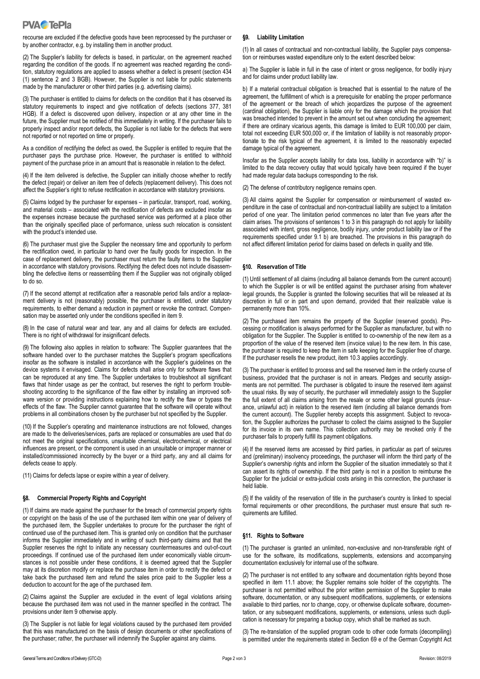

recourse are excluded if the defective goods have been reprocessed by the purchaser or by another contractor, e.g. by installing them in another product.

(2) The Supplier's liability for defects is based, in particular, on the agreement reached regarding the condition of the goods. If no agreement was reached regarding the condition, statutory regulations are applied to assess whether a defect is present (section 434 (1) sentence 2 and 3 BGB). However, the Supplier is not liable for public statements made by the manufacturer or other third parties (e.g. advertising claims).

(3) The purchaser is entitled to claims for defects on the condition that it has observed its statutory requirements to inspect and give notification of defects (sections 377, 381 HGB). If a defect is discovered upon delivery, inspection or at any other time in the future, the Supplier must be notified of this immediately in writing. If the purchaser fails to properly inspect and/or report defects, the Supplier is not liable for the defects that were not reported or not reported on time or properly.

As a condition of rectifying the defect as owed, the Supplier is entitled to require that the purchaser pays the purchase price. However, the purchaser is entitled to withhold payment of the purchase price in an amount that is reasonable in relation to the defect.

(4) If the item delivered is defective, the Supplier can initially choose whether to rectify the defect (repair) or deliver an item free of defects (replacement delivery). This does not affect the Supplier's right to refuse rectification in accordance with statutory provisions.

(5) Claims lodged by the purchaser for expenses – in particular, transport, road, working, and material costs – associated with the rectification of defects are excluded insofar as the expenses increase because the purchased service was performed at a place other than the originally specified place of performance, unless such relocation is consistent with the product's intended use.

(6) The purchaser must give the Supplier the necessary time and opportunity to perform the rectification owed, in particular to hand over the faulty goods for inspection. In the case of replacement delivery, the purchaser must return the faulty items to the Supplier in accordance with statutory provisions. Rectifying the defect does not include disassembling the defective items or reassembling them if the Supplier was not originally obliged to do so.

(7) If the second attempt at rectification after a reasonable period fails and/or a replacement delivery is not (reasonably) possible, the purchaser is entitled, under statutory requirements, to either demand a reduction in payment or revoke the contract. Compensation may be asserted only under the conditions specified in item 9.

(8) In the case of natural wear and tear, any and all claims for defects are excluded. There is no right of withdrawal for insignificant defects.

(9) The following also applies in relation to software: The Supplier guarantees that the software handed over to the purchaser matches the Supplier's program specifications insofar as the software is installed in accordance with the Supplier's guidelines on the device systems it envisaged. Claims for defects shall arise only for software flaws that can be reproduced at any time. The Supplier undertakes to troubleshoot all significant flaws that hinder usage as per the contract, but reserves the right to perform troubleshooting according to the significance of the flaw either by installing an improved software version or providing instructions explaining how to rectify the flaw or bypass the effects of the flaw. The Supplier cannot guarantee that the software will operate without problems in all combinations chosen by the purchaser but not specified by the Supplier.

(10) If the Supplier's operating and maintenance instructions are not followed, changes are made to the deliveries/services, parts are replaced or consumables are used that do not meet the original specifications, unsuitable chemical, electrochemical, or electrical influences are present, or the component is used in an unsuitable or improper manner or installed/commissioned incorrectly by the buyer or a third party, any and all claims for defects cease to apply.

(11) Claims for defects lapse or expire within a year of delivery.

## **§8. Commercial Property Rights and Copyright**

(1) If claims are made against the purchaser for the breach of commercial property rights or copyright on the basis of the use of the purchased item within one year of delivery of the purchased item, the Supplier undertakes to procure for the purchaser the right of continued use of the purchased item. This is granted only on condition that the purchaser informs the Supplier immediately and in writing of such third-party claims and that the Supplier reserves the right to initiate any necessary countermeasures and out-of-court proceedings. If continued use of the purchased item under economically viable circumstances is not possible under these conditions, it is deemed agreed that the Supplier may at its discretion modify or replace the purchase item in order to rectify the defect or take back the purchased item and refund the sales price paid to the Supplier less a deduction to account for the age of the purchased item.

(2) Claims against the Supplier are excluded in the event of legal violations arising because the purchased item was not used in the manner specified in the contract. The provisions under item 9 otherwise apply.

(3) The Supplier is not liable for legal violations caused by the purchased item provided that this was manufactured on the basis of design documents or other specifications of the purchaser; rather, the purchaser will indemnify the Supplier against any claims.

#### **§9. Liability Limitation**

(1) In all cases of contractual and non-contractual liability, the Supplier pays compensation or reimburses wasted expenditure only to the extent described below:

a) The Supplier is liable in full in the case of intent or gross negligence, for bodily injury and for claims under product liability law.

b) If a material contractual obligation is breached that is essential to the nature of the agreement, the fulfillment of which is a prerequisite for enabling the proper performance of the agreement or the breach of which jeopardizes the purpose of the agreement (cardinal obligation), the Supplier is liable only for the damage which the provision that was breached intended to prevent in the amount set out when concluding the agreement; if there are ordinary vicarious agents, this damage is limited to EUR 100,000 per claim, total not exceeding EUR 500,000 or, if the limitation of liability is not reasonably proportionate to the risk typical of the agreement, it is limited to the reasonably expected damage typical of the agreement.

Insofar as the Supplier accepts liability for data loss, liability in accordance with "b)" is limited to the data recovery outlay that would typically have been required if the buyer had made regular data backups corresponding to the risk.

(2) The defense of contributory negligence remains open.

(3) All claims against the Supplier for compensation or reimbursement of wasted expenditure in the case of contractual and non-contractual liability are subject to a limitation period of one year. The limitation period commences no later than five years after the claim arises. The provisions of sentences 1 to 3 in this paragraph do not apply for liability associated with intent, gross negligence, bodily injury, under product liability law or if the requirements specified under 9.1 b) are breached. The provisions in this paragraph do not affect different limitation period for claims based on defects in quality and title.

#### **§10. Reservation of Title**

(1) Until settlement of all claims (including all balance demands from the current account) to which the Supplier is or will be entitled against the purchaser arising from whatever legal grounds, the Supplier is granted the following securities that will be released at its discretion in full or in part and upon demand, provided that their realizable value is permanently more than 10%.

(2) The purchased item remains the property of the Supplier (reserved goods). Processing or modification is always performed for the Supplier as manufacturer, but with no obligation for the Supplier. The Supplier is entitled to co-ownership of the new item as a proportion of the value of the reserved item (invoice value) to the new item. In this case, the purchaser is required to keep the item in safe keeping for the Supplier free of charge. If the purchaser resells the new product, item 10.3 applies accordingly.

(3) The purchaser is entitled to process and sell the reserved item in the orderly course of business, provided that the purchaser is not in arrears. Pledges and security assignments are not permitted. The purchaser is obligated to insure the reserved item against the usual risks. By way of security, the purchaser will immediately assign to the Supplier the full extent of all claims arising from the resale or some other legal grounds (insurance, unlawful act) in relation to the reserved item (including all balance demands from the current account). The Supplier hereby accepts this assignment. Subject to revocation, the Supplier authorizes the purchaser to collect the claims assigned to the Supplier for its invoice in its own name. This collection authority may be revoked only if the purchaser fails to properly fulfill its payment obligations.

(4) If the reserved items are accessed by third parties, in particular as part of seizures and (preliminary) insolvency proceedings, the purchaser will inform the third party of the Supplier's ownership rights and inform the Supplier of the situation immediately so that it can assert its rights of ownership. If the third party is not in a position to reimburse the Supplier for the judicial or extra-judicial costs arising in this connection, the purchaser is held liable.

(5) If the validity of the reservation of title in the purchaser's country is linked to special formal requirements or other preconditions, the purchaser must ensure that such requirements are fulfilled.

#### **§11. Rights to Software**

(1) The purchaser is granted an unlimited, non-exclusive and non-transferable right of use for the software, its modifications, supplements, extensions and accompanying documentation exclusively for internal use of the software.

(2) The purchaser is not entitled to any software and documentation rights beyond those specified in item 11.1 above; the Supplier remains sole holder of the copyrights. The purchaser is not permitted without the prior written permission of the Supplier to make software, documentation, or any subsequent modifications, supplements, or extensions available to third parties, nor to change, copy, or otherwise duplicate software, documentation, or any subsequent modifications, supplements, or extensions, unless such duplication is necessary for preparing a backup copy, which shall be marked as such.

(3) The re-translation of the supplied program code to other code formats (decompiling) is permitted under the requirements stated in Section 69 e of the German Copyright Act